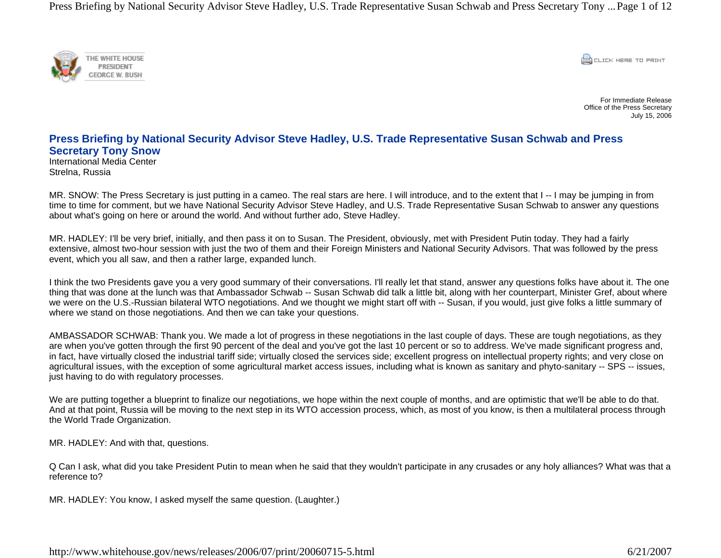Press Briefing by National Security Advisor Steve Hadley, U.S. Trade Representative Susan Schwab and Press Secretary Tony ...Page 1 of 12



**CONCRETE PRINT** 

For Immediate ReleaseOffice of the Press Secretary July 15, 2006

## **Press Briefing by National Security Advisor Steve Hadley, U.S. Trade Representative Susan Schwab and Press Secretary Tony Snow**

International Media Center Strelna, Russia

MR. SNOW: The Press Secretary is just putting in a cameo. The real stars are here. I will introduce, and to the extent that I -- I may be jumping in from time to time for comment, but we have National Security Advisor Steve Hadley, and U.S. Trade Representative Susan Schwab to answer any questions about what's going on here or around the world. And without further ado, Steve Hadley.

MR. HADLEY: I'll be very brief, initially, and then pass it on to Susan. The President, obviously, met with President Putin today. They had a fairly extensive, almost two-hour session with just the two of them and their Foreign Ministers and National Security Advisors. That was followed by the press event, which you all saw, and then a rather large, expanded lunch.

I think the two Presidents gave you a very good summary of their conversations. I'll really let that stand, answer any questions folks have about it. The one thing that was done at the lunch was that Ambassador Schwab -- Susan Schwab did talk a little bit, along with her counterpart, Minister Gref, about where we were on the U.S.-Russian bilateral WTO negotiations. And we thought we might start off with -- Susan, if you would, just give folks a little summary of where we stand on those negotiations. And then we can take your questions.

AMBASSADOR SCHWAB: Thank you. We made a lot of progress in these negotiations in the last couple of days. These are tough negotiations, as they are when you've gotten through the first 90 percent of the deal and you've got the last 10 percent or so to address. We've made significant progress and, in fact, have virtually closed the industrial tariff side; virtually closed the services side; excellent progress on intellectual property rights; and very close on agricultural issues, with the exception of some agricultural market access issues, including what is known as sanitary and phyto-sanitary -- SPS -- issues, just having to do with regulatory processes.

We are putting together a blueprint to finalize our negotiations, we hope within the next couple of months, and are optimistic that we'll be able to do that. And at that point, Russia will be moving to the next step in its WTO accession process, which, as most of you know, is then a multilateral process through the World Trade Organization.

MR. HADLEY: And with that, questions.

Q Can I ask, what did you take President Putin to mean when he said that they wouldn't participate in any crusades or any holy alliances? What was that a reference to?

MR. HADLEY: You know, I asked myself the same question. (Laughter.)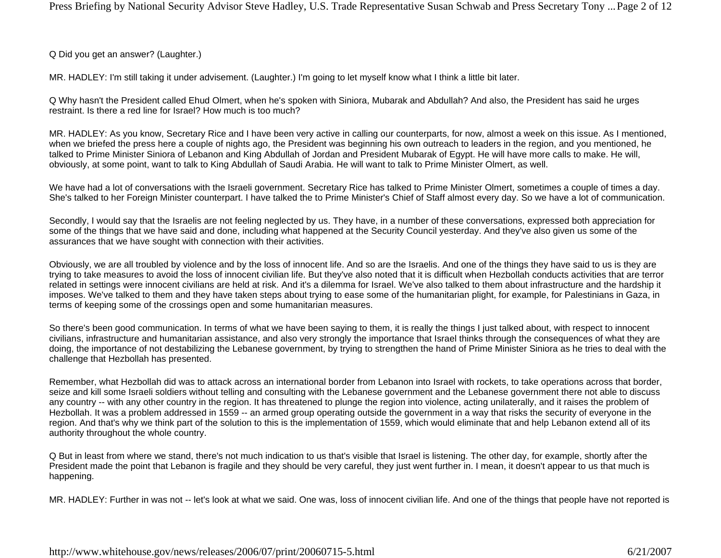Press Briefing by National Security Advisor Steve Hadley, U.S. Trade Representative Susan Schwab and Press Secretary Tony ...Page 2 of 12

Q Did you get an answer? (Laughter.)

MR. HADLEY: I'm still taking it under advisement. (Laughter.) I'm going to let myself know what I think a little bit later.

Q Why hasn't the President called Ehud Olmert, when he's spoken with Siniora, Mubarak and Abdullah? And also, the President has said he urges restraint. Is there a red line for Israel? How much is too much?

MR. HADLEY: As you know, Secretary Rice and I have been very active in calling our counterparts, for now, almost a week on this issue. As I mentioned, when we briefed the press here a couple of nights ago, the President was beginning his own outreach to leaders in the region, and you mentioned, he talked to Prime Minister Siniora of Lebanon and King Abdullah of Jordan and President Mubarak of Egypt. He will have more calls to make. He will, obviously, at some point, want to talk to King Abdullah of Saudi Arabia. He will want to talk to Prime Minister Olmert, as well.

We have had a lot of conversations with the Israeli government. Secretary Rice has talked to Prime Minister Olmert, sometimes a couple of times a day. She's talked to her Foreign Minister counterpart. I have talked the to Prime Minister's Chief of Staff almost every day. So we have a lot of communication.

Secondly, I would say that the Israelis are not feeling neglected by us. They have, in a number of these conversations, expressed both appreciation for some of the things that we have said and done, including what happened at the Security Council yesterday. And they've also given us some of the assurances that we have sought with connection with their activities.

Obviously, we are all troubled by violence and by the loss of innocent life. And so are the Israelis. And one of the things they have said to us is they are trying to take measures to avoid the loss of innocent civilian life. But they've also noted that it is difficult when Hezbollah conducts activities that are terror related in settings were innocent civilians are held at risk. And it's a dilemma for Israel. We've also talked to them about infrastructure and the hardship it imposes. We've talked to them and they have taken steps about trying to ease some of the humanitarian plight, for example, for Palestinians in Gaza, in terms of keeping some of the crossings open and some humanitarian measures.

So there's been good communication. In terms of what we have been saying to them, it is really the things I just talked about, with respect to innocent civilians, infrastructure and humanitarian assistance, and also very strongly the importance that Israel thinks through the consequences of what they are doing, the importance of not destabilizing the Lebanese government, by trying to strengthen the hand of Prime Minister Siniora as he tries to deal with the challenge that Hezbollah has presented.

Remember, what Hezbollah did was to attack across an international border from Lebanon into Israel with rockets, to take operations across that border, seize and kill some Israeli soldiers without telling and consulting with the Lebanese government and the Lebanese government there not able to discuss any country -- with any other country in the region. It has threatened to plunge the region into violence, acting unilaterally, and it raises the problem of Hezbollah. It was a problem addressed in 1559 -- an armed group operating outside the government in a way that risks the security of everyone in the region. And that's why we think part of the solution to this is the implementation of 1559, which would eliminate that and help Lebanon extend all of its authority throughout the whole country.

Q But in least from where we stand, there's not much indication to us that's visible that Israel is listening. The other day, for example, shortly after the President made the point that Lebanon is fragile and they should be very careful, they just went further in. I mean, it doesn't appear to us that much is happening.

MR. HADLEY: Further in was not -- let's look at what we said. One was, loss of innocent civilian life. And one of the things that people have not reported is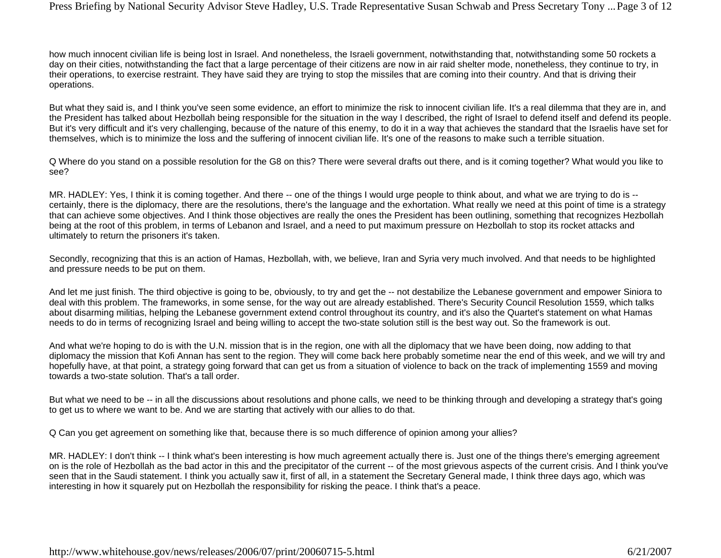how much innocent civilian life is being lost in Israel. And nonetheless, the Israeli government, notwithstanding that, notwithstanding some 50 rockets a day on their cities, notwithstanding the fact that a large percentage of their citizens are now in air raid shelter mode, nonetheless, they continue to try, in their operations, to exercise restraint. They have said they are trying to stop the missiles that are coming into their country. And that is driving their operations.

But what they said is, and I think you've seen some evidence, an effort to minimize the risk to innocent civilian life. It's a real dilemma that they are in, and the President has talked about Hezbollah being responsible for the situation in the way I described, the right of Israel to defend itself and defend its people. But it's very difficult and it's very challenging, because of the nature of this enemy, to do it in a way that achieves the standard that the Israelis have set for themselves, which is to minimize the loss and the suffering of innocent civilian life. It's one of the reasons to make such a terrible situation.

Q Where do you stand on a possible resolution for the G8 on this? There were several drafts out there, and is it coming together? What would you like to see?

MR. HADLEY: Yes, I think it is coming together. And there -- one of the things I would urge people to think about, and what we are trying to do is -certainly, there is the diplomacy, there are the resolutions, there's the language and the exhortation. What really we need at this point of time is a strategy that can achieve some objectives. And I think those objectives are really the ones the President has been outlining, something that recognizes Hezbollah being at the root of this problem, in terms of Lebanon and Israel, and a need to put maximum pressure on Hezbollah to stop its rocket attacks and ultimately to return the prisoners it's taken.

Secondly, recognizing that this is an action of Hamas, Hezbollah, with, we believe, Iran and Syria very much involved. And that needs to be highlighted and pressure needs to be put on them.

And let me just finish. The third objective is going to be, obviously, to try and get the -- not destabilize the Lebanese government and empower Siniora to deal with this problem. The frameworks, in some sense, for the way out are already established. There's Security Council Resolution 1559, which talks about disarming militias, helping the Lebanese government extend control throughout its country, and it's also the Quartet's statement on what Hamas needs to do in terms of recognizing Israel and being willing to accept the two-state solution still is the best way out. So the framework is out.

And what we're hoping to do is with the U.N. mission that is in the region, one with all the diplomacy that we have been doing, now adding to that diplomacy the mission that Kofi Annan has sent to the region. They will come back here probably sometime near the end of this week, and we will try and hopefully have, at that point, a strategy going forward that can get us from a situation of violence to back on the track of implementing 1559 and moving towards a two-state solution. That's a tall order.

But what we need to be -- in all the discussions about resolutions and phone calls, we need to be thinking through and developing a strategy that's going to get us to where we want to be. And we are starting that actively with our allies to do that.

Q Can you get agreement on something like that, because there is so much difference of opinion among your allies?

MR. HADLEY: I don't think -- I think what's been interesting is how much agreement actually there is. Just one of the things there's emerging agreement on is the role of Hezbollah as the bad actor in this and the precipitator of the current -- of the most grievous aspects of the current crisis. And I think you've seen that in the Saudi statement. I think you actually saw it, first of all, in a statement the Secretary General made, I think three days ago, which was interesting in how it squarely put on Hezbollah the responsibility for risking the peace. I think that's a peace.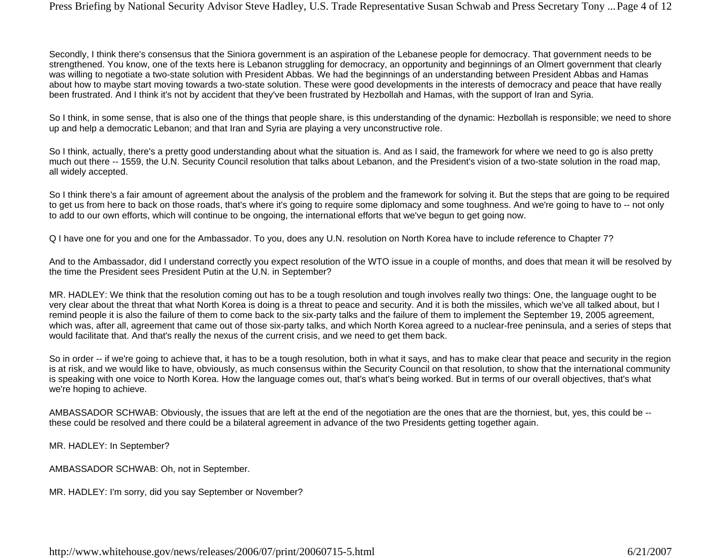Secondly, I think there's consensus that the Siniora government is an aspiration of the Lebanese people for democracy. That government needs to be strengthened. You know, one of the texts here is Lebanon struggling for democracy, an opportunity and beginnings of an Olmert government that clearly was willing to negotiate a two-state solution with President Abbas. We had the beginnings of an understanding between President Abbas and Hamas about how to maybe start moving towards a two-state solution. These were good developments in the interests of democracy and peace that have really been frustrated. And I think it's not by accident that they've been frustrated by Hezbollah and Hamas, with the support of Iran and Syria.

So I think, in some sense, that is also one of the things that people share, is this understanding of the dynamic: Hezbollah is responsible; we need to shore up and help a democratic Lebanon; and that Iran and Syria are playing a very unconstructive role.

So I think, actually, there's a pretty good understanding about what the situation is. And as I said, the framework for where we need to go is also pretty much out there -- 1559, the U.N. Security Council resolution that talks about Lebanon, and the President's vision of a two-state solution in the road map, all widely accepted.

So I think there's a fair amount of agreement about the analysis of the problem and the framework for solving it. But the steps that are going to be required to get us from here to back on those roads, that's where it's going to require some diplomacy and some toughness. And we're going to have to -- not only to add to our own efforts, which will continue to be ongoing, the international efforts that we've begun to get going now.

Q I have one for you and one for the Ambassador. To you, does any U.N. resolution on North Korea have to include reference to Chapter 7?

And to the Ambassador, did I understand correctly you expect resolution of the WTO issue in a couple of months, and does that mean it will be resolved by the time the President sees President Putin at the U.N. in September?

MR. HADLEY: We think that the resolution coming out has to be a tough resolution and tough involves really two things: One, the language ought to be very clear about the threat that what North Korea is doing is a threat to peace and security. And it is both the missiles, which we've all talked about, but I remind people it is also the failure of them to come back to the six-party talks and the failure of them to implement the September 19, 2005 agreement, which was, after all, agreement that came out of those six-party talks, and which North Korea agreed to a nuclear-free peninsula, and a series of steps that would facilitate that. And that's really the nexus of the current crisis, and we need to get them back.

So in order -- if we're going to achieve that, it has to be a tough resolution, both in what it says, and has to make clear that peace and security in the region is at risk, and we would like to have, obviously, as much consensus within the Security Council on that resolution, to show that the international community is speaking with one voice to North Korea. How the language comes out, that's what's being worked. But in terms of our overall objectives, that's what we're hoping to achieve.

AMBASSADOR SCHWAB: Obviously, the issues that are left at the end of the negotiation are the ones that are the thorniest, but, yes, this could be - these could be resolved and there could be a bilateral agreement in advance of the two Presidents getting together again.

MR. HADLEY: In September?

AMBASSADOR SCHWAB: Oh, not in September.

MR. HADLEY: I'm sorry, did you say September or November?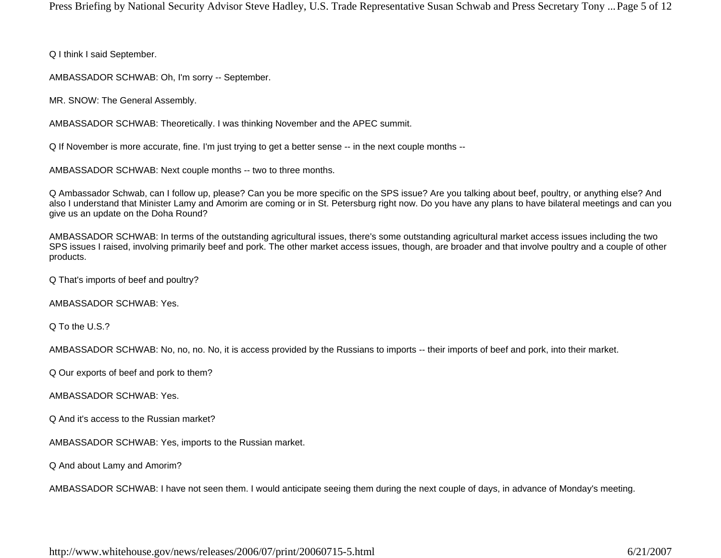Press Briefing by National Security Advisor Steve Hadley, U.S. Trade Representative Susan Schwab and Press Secretary Tony ...Page 5 of 12

Q I think I said September.

AMBASSADOR SCHWAB: Oh, I'm sorry -- September.

MR. SNOW: The General Assembly.

AMBASSADOR SCHWAB: Theoretically. I was thinking November and the APEC summit.

Q If November is more accurate, fine. I'm just trying to get a better sense -- in the next couple months --

AMBASSADOR SCHWAB: Next couple months -- two to three months.

Q Ambassador Schwab, can I follow up, please? Can you be more specific on the SPS issue? Are you talking about beef, poultry, or anything else? And also I understand that Minister Lamy and Amorim are coming or in St. Petersburg right now. Do you have any plans to have bilateral meetings and can you give us an update on the Doha Round?

AMBASSADOR SCHWAB: In terms of the outstanding agricultural issues, there's some outstanding agricultural market access issues including the two SPS issues I raised, involving primarily beef and pork. The other market access issues, though, are broader and that involve poultry and a couple of other products.

Q That's imports of beef and poultry?

AMBASSADOR SCHWAB: Yes.

Q To the U.S.?

AMBASSADOR SCHWAB: No, no, no. No, it is access provided by the Russians to imports -- their imports of beef and pork, into their market.

Q Our exports of beef and pork to them?

AMBASSADOR SCHWAB: Yes.

Q And it's access to the Russian market?

AMBASSADOR SCHWAB: Yes, imports to the Russian market.

Q And about Lamy and Amorim?

AMBASSADOR SCHWAB: I have not seen them. I would anticipate seeing them during the next couple of days, in advance of Monday's meeting.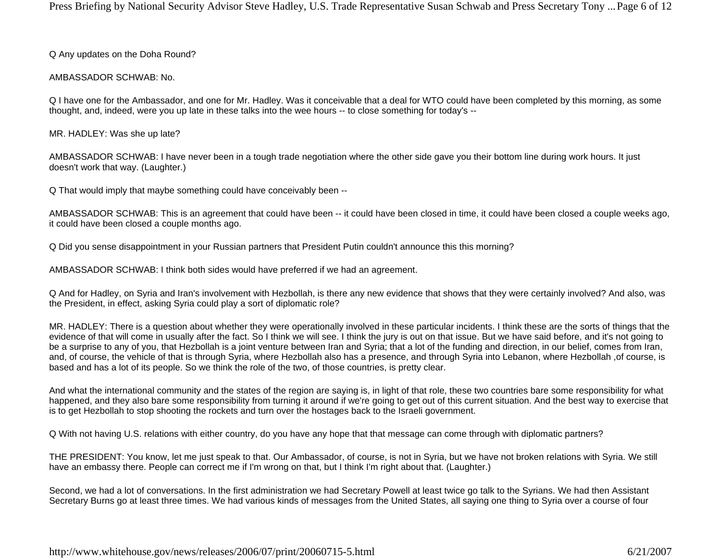Press Briefing by National Security Advisor Steve Hadley, U.S. Trade Representative Susan Schwab and Press Secretary Tony ...Page 6 of 12

Q Any updates on the Doha Round?

AMBASSADOR SCHWAB: No.

Q I have one for the Ambassador, and one for Mr. Hadley. Was it conceivable that a deal for WTO could have been completed by this morning, as some thought, and, indeed, were you up late in these talks into the wee hours -- to close something for today's --

MR. HADLEY: Was she up late?

AMBASSADOR SCHWAB: I have never been in a tough trade negotiation where the other side gave you their bottom line during work hours. It just doesn't work that way. (Laughter.)

Q That would imply that maybe something could have conceivably been --

AMBASSADOR SCHWAB: This is an agreement that could have been -- it could have been closed in time, it could have been closed a couple weeks ago, it could have been closed a couple months ago.

Q Did you sense disappointment in your Russian partners that President Putin couldn't announce this this morning?

AMBASSADOR SCHWAB: I think both sides would have preferred if we had an agreement.

Q And for Hadley, on Syria and Iran's involvement with Hezbollah, is there any new evidence that shows that they were certainly involved? And also, was the President, in effect, asking Syria could play a sort of diplomatic role?

MR. HADLEY: There is a question about whether they were operationally involved in these particular incidents. I think these are the sorts of things that the evidence of that will come in usually after the fact. So I think we will see. I think the jury is out on that issue. But we have said before, and it's not going to be a surprise to any of you, that Hezbollah is a joint venture between Iran and Syria; that a lot of the funding and direction, in our belief, comes from Iran, and, of course, the vehicle of that is through Syria, where Hezbollah also has a presence, and through Syria into Lebanon, where Hezbollah ,of course, is based and has a lot of its people. So we think the role of the two, of those countries, is pretty clear.

And what the international community and the states of the region are saying is, in light of that role, these two countries bare some responsibility for what happened, and they also bare some responsibility from turning it around if we're going to get out of this current situation. And the best way to exercise that is to get Hezbollah to stop shooting the rockets and turn over the hostages back to the Israeli government.

Q With not having U.S. relations with either country, do you have any hope that that message can come through with diplomatic partners?

THE PRESIDENT: You know, let me just speak to that. Our Ambassador, of course, is not in Syria, but we have not broken relations with Syria. We still have an embassy there. People can correct me if I'm wrong on that, but I think I'm right about that. (Laughter.)

Second, we had a lot of conversations. In the first administration we had Secretary Powell at least twice go talk to the Syrians. We had then Assistant Secretary Burns go at least three times. We had various kinds of messages from the United States, all saying one thing to Syria over a course of four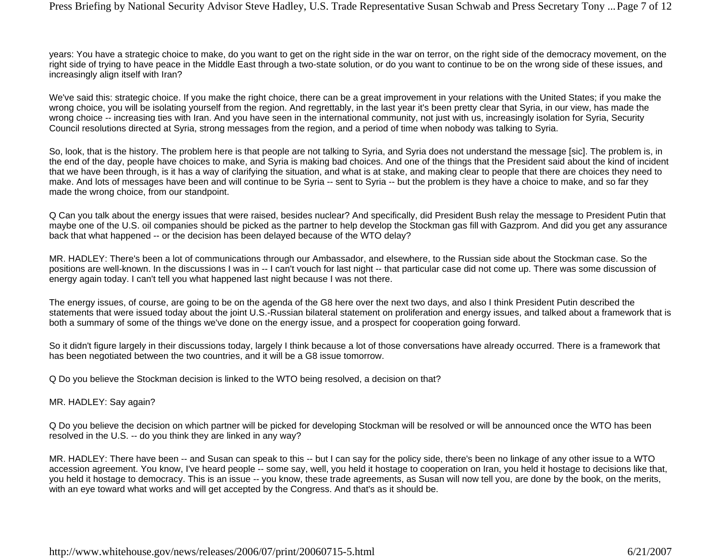years: You have a strategic choice to make, do you want to get on the right side in the war on terror, on the right side of the democracy movement, on the right side of trying to have peace in the Middle East through a two-state solution, or do you want to continue to be on the wrong side of these issues, and increasingly align itself with Iran?

We've said this: strategic choice. If you make the right choice, there can be a great improvement in your relations with the United States; if you make the wrong choice, you will be isolating yourself from the region. And regrettably, in the last year it's been pretty clear that Syria, in our view, has made the wrong choice -- increasing ties with Iran. And you have seen in the international community, not just with us, increasingly isolation for Syria, Security Council resolutions directed at Syria, strong messages from the region, and a period of time when nobody was talking to Syria.

So, look, that is the history. The problem here is that people are not talking to Syria, and Syria does not understand the message [sic]. The problem is, in the end of the day, people have choices to make, and Syria is making bad choices. And one of the things that the President said about the kind of incident that we have been through, is it has a way of clarifying the situation, and what is at stake, and making clear to people that there are choices they need to make. And lots of messages have been and will continue to be Syria -- sent to Syria -- but the problem is they have a choice to make, and so far they made the wrong choice, from our standpoint.

Q Can you talk about the energy issues that were raised, besides nuclear? And specifically, did President Bush relay the message to President Putin that maybe one of the U.S. oil companies should be picked as the partner to help develop the Stockman gas fill with Gazprom. And did you get any assurance back that what happened -- or the decision has been delayed because of the WTO delay?

MR. HADLEY: There's been a lot of communications through our Ambassador, and elsewhere, to the Russian side about the Stockman case. So the positions are well-known. In the discussions I was in -- I can't vouch for last night -- that particular case did not come up. There was some discussion of energy again today. I can't tell you what happened last night because I was not there.

The energy issues, of course, are going to be on the agenda of the G8 here over the next two days, and also I think President Putin described the statements that were issued today about the joint U.S.-Russian bilateral statement on proliferation and energy issues, and talked about a framework that is both a summary of some of the things we've done on the energy issue, and a prospect for cooperation going forward.

So it didn't figure largely in their discussions today, largely I think because a lot of those conversations have already occurred. There is a framework that has been negotiated between the two countries, and it will be a G8 issue tomorrow.

Q Do you believe the Stockman decision is linked to the WTO being resolved, a decision on that?

MR. HADLEY: Say again?

Q Do you believe the decision on which partner will be picked for developing Stockman will be resolved or will be announced once the WTO has been resolved in the U.S. -- do you think they are linked in any way?

MR. HADLEY: There have been -- and Susan can speak to this -- but I can say for the policy side, there's been no linkage of any other issue to a WTO accession agreement. You know, I've heard people -- some say, well, you held it hostage to cooperation on Iran, you held it hostage to decisions like that, you held it hostage to democracy. This is an issue -- you know, these trade agreements, as Susan will now tell you, are done by the book, on the merits, with an eye toward what works and will get accepted by the Congress. And that's as it should be.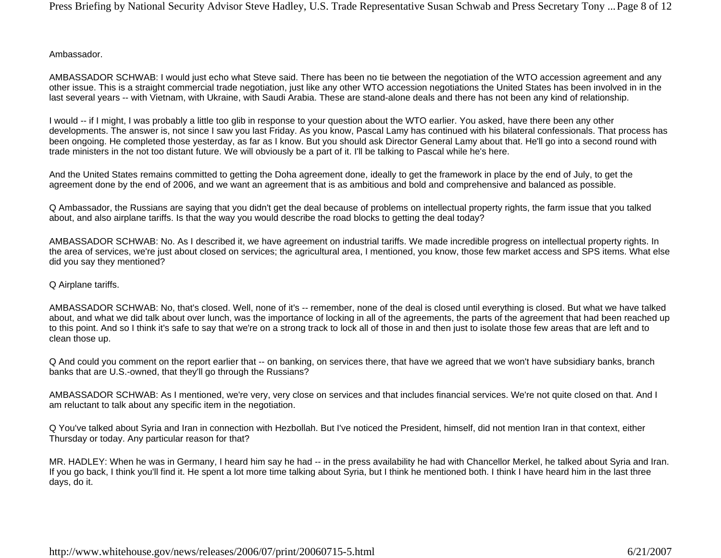Press Briefing by National Security Advisor Steve Hadley, U.S. Trade Representative Susan Schwab and Press Secretary Tony ...Page 8 of 12

Ambassador.

AMBASSADOR SCHWAB: I would just echo what Steve said. There has been no tie between the negotiation of the WTO accession agreement and any other issue. This is a straight commercial trade negotiation, just like any other WTO accession negotiations the United States has been involved in in the last several years -- with Vietnam, with Ukraine, with Saudi Arabia. These are stand-alone deals and there has not been any kind of relationship.

I would -- if I might, I was probably a little too glib in response to your question about the WTO earlier. You asked, have there been any other developments. The answer is, not since I saw you last Friday. As you know, Pascal Lamy has continued with his bilateral confessionals. That process has been ongoing. He completed those yesterday, as far as I know. But you should ask Director General Lamy about that. He'll go into a second round with trade ministers in the not too distant future. We will obviously be a part of it. I'll be talking to Pascal while he's here.

And the United States remains committed to getting the Doha agreement done, ideally to get the framework in place by the end of July, to get the agreement done by the end of 2006, and we want an agreement that is as ambitious and bold and comprehensive and balanced as possible.

Q Ambassador, the Russians are saying that you didn't get the deal because of problems on intellectual property rights, the farm issue that you talked about, and also airplane tariffs. Is that the way you would describe the road blocks to getting the deal today?

AMBASSADOR SCHWAB: No. As I described it, we have agreement on industrial tariffs. We made incredible progress on intellectual property rights. In the area of services, we're just about closed on services; the agricultural area, I mentioned, you know, those few market access and SPS items. What else did you say they mentioned?

Q Airplane tariffs.

AMBASSADOR SCHWAB: No, that's closed. Well, none of it's -- remember, none of the deal is closed until everything is closed. But what we have talked about, and what we did talk about over lunch, was the importance of locking in all of the agreements, the parts of the agreement that had been reached up to this point. And so I think it's safe to say that we're on a strong track to lock all of those in and then just to isolate those few areas that are left and to clean those up.

Q And could you comment on the report earlier that -- on banking, on services there, that have we agreed that we won't have subsidiary banks, branch banks that are U.S.-owned, that they'll go through the Russians?

AMBASSADOR SCHWAB: As I mentioned, we're very, very close on services and that includes financial services. We're not quite closed on that. And I am reluctant to talk about any specific item in the negotiation.

Q You've talked about Syria and Iran in connection with Hezbollah. But I've noticed the President, himself, did not mention Iran in that context, either Thursday or today. Any particular reason for that?

MR. HADLEY: When he was in Germany, I heard him say he had -- in the press availability he had with Chancellor Merkel, he talked about Syria and Iran. If you go back, I think you'll find it. He spent a lot more time talking about Syria, but I think he mentioned both. I think I have heard him in the last three days, do it.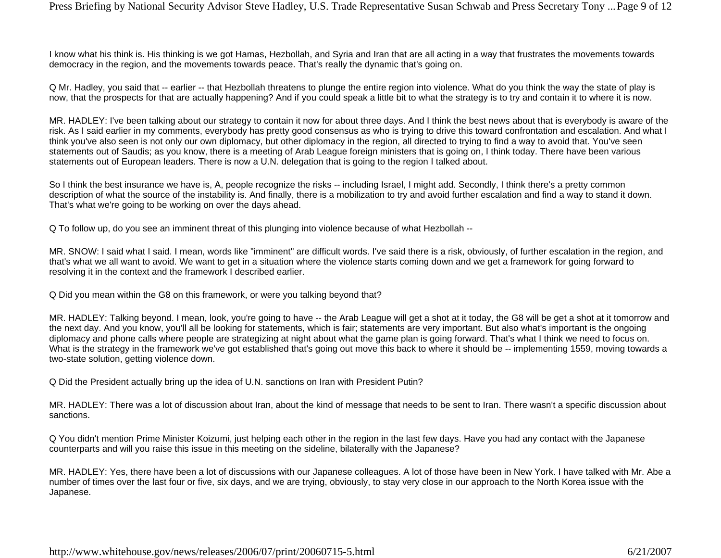Press Briefing by National Security Advisor Steve Hadley, U.S. Trade Representative Susan Schwab and Press Secretary Tony ... Page 9 of 12

I know what his think is. His thinking is we got Hamas, Hezbollah, and Syria and Iran that are all acting in a way that frustrates the movements towards democracy in the region, and the movements towards peace. That's really the dynamic that's going on.

Q Mr. Hadley, you said that -- earlier -- that Hezbollah threatens to plunge the entire region into violence. What do you think the way the state of play is now, that the prospects for that are actually happening? And if you could speak a little bit to what the strategy is to try and contain it to where it is now.

MR. HADLEY: I've been talking about our strategy to contain it now for about three days. And I think the best news about that is everybody is aware of the risk. As I said earlier in my comments, everybody has pretty good consensus as who is trying to drive this toward confrontation and escalation. And what I think you've also seen is not only our own diplomacy, but other diplomacy in the region, all directed to trying to find a way to avoid that. You've seen statements out of Saudis; as you know, there is a meeting of Arab League foreign ministers that is going on, I think today. There have been various statements out of European leaders. There is now a U.N. delegation that is going to the region I talked about.

So I think the best insurance we have is, A, people recognize the risks -- including Israel, I might add. Secondly, I think there's a pretty common description of what the source of the instability is. And finally, there is a mobilization to try and avoid further escalation and find a way to stand it down. That's what we're going to be working on over the days ahead.

Q To follow up, do you see an imminent threat of this plunging into violence because of what Hezbollah --

MR. SNOW: I said what I said. I mean, words like "imminent" are difficult words. I've said there is a risk, obviously, of further escalation in the region, and that's what we all want to avoid. We want to get in a situation where the violence starts coming down and we get a framework for going forward to resolving it in the context and the framework I described earlier.

Q Did you mean within the G8 on this framework, or were you talking beyond that?

MR. HADLEY: Talking beyond. I mean, look, you're going to have -- the Arab League will get a shot at it today, the G8 will be get a shot at it tomorrow and the next day. And you know, you'll all be looking for statements, which is fair; statements are very important. But also what's important is the ongoing diplomacy and phone calls where people are strategizing at night about what the game plan is going forward. That's what I think we need to focus on. What is the strategy in the framework we've got established that's going out move this back to where it should be -- implementing 1559, moving towards a two-state solution, getting violence down.

Q Did the President actually bring up the idea of U.N. sanctions on Iran with President Putin?

MR. HADLEY: There was a lot of discussion about Iran, about the kind of message that needs to be sent to Iran. There wasn't a specific discussion about sanctions.

Q You didn't mention Prime Minister Koizumi, just helping each other in the region in the last few days. Have you had any contact with the Japanese counterparts and will you raise this issue in this meeting on the sideline, bilaterally with the Japanese?

MR. HADLEY: Yes, there have been a lot of discussions with our Japanese colleagues. A lot of those have been in New York. I have talked with Mr. Abe a number of times over the last four or five, six days, and we are trying, obviously, to stay very close in our approach to the North Korea issue with the Japanese.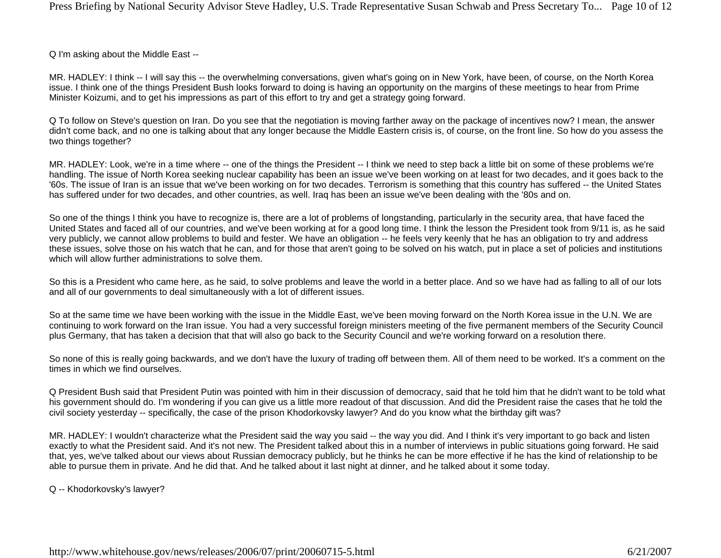Q I'm asking about the Middle East --

MR. HADLEY: I think -- I will say this -- the overwhelming conversations, given what's going on in New York, have been, of course, on the North Korea issue. I think one of the things President Bush looks forward to doing is having an opportunity on the margins of these meetings to hear from Prime Minister Koizumi, and to get his impressions as part of this effort to try and get a strategy going forward.

Q To follow on Steve's question on Iran. Do you see that the negotiation is moving farther away on the package of incentives now? I mean, the answer didn't come back, and no one is talking about that any longer because the Middle Eastern crisis is, of course, on the front line. So how do you assess the two things together?

MR. HADLEY: Look, we're in a time where -- one of the things the President -- I think we need to step back a little bit on some of these problems we're handling. The issue of North Korea seeking nuclear capability has been an issue we've been working on at least for two decades, and it goes back to the '60s. The issue of Iran is an issue that we've been working on for two decades. Terrorism is something that this country has suffered -- the United States has suffered under for two decades, and other countries, as well. Iraq has been an issue we've been dealing with the '80s and on.

So one of the things I think you have to recognize is, there are a lot of problems of longstanding, particularly in the security area, that have faced the United States and faced all of our countries, and we've been working at for a good long time. I think the lesson the President took from 9/11 is, as he said very publicly, we cannot allow problems to build and fester. We have an obligation -- he feels very keenly that he has an obligation to try and address these issues, solve those on his watch that he can, and for those that aren't going to be solved on his watch, put in place a set of policies and institutions which will allow further administrations to solve them.

So this is a President who came here, as he said, to solve problems and leave the world in a better place. And so we have had as falling to all of our lots and all of our governments to deal simultaneously with a lot of different issues.

So at the same time we have been working with the issue in the Middle East, we've been moving forward on the North Korea issue in the U.N. We are continuing to work forward on the Iran issue. You had a very successful foreign ministers meeting of the five permanent members of the Security Council plus Germany, that has taken a decision that that will also go back to the Security Council and we're working forward on a resolution there.

So none of this is really going backwards, and we don't have the luxury of trading off between them. All of them need to be worked. It's a comment on the times in which we find ourselves.

Q President Bush said that President Putin was pointed with him in their discussion of democracy, said that he told him that he didn't want to be told what his government should do. I'm wondering if you can give us a little more readout of that discussion. And did the President raise the cases that he told the civil society yesterday -- specifically, the case of the prison Khodorkovsky lawyer? And do you know what the birthday gift was?

MR. HADLEY: I wouldn't characterize what the President said the way you said -- the way you did. And I think it's very important to go back and listen exactly to what the President said. And it's not new. The President talked about this in a number of interviews in public situations going forward. He said that, yes, we've talked about our views about Russian democracy publicly, but he thinks he can be more effective if he has the kind of relationship to be able to pursue them in private. And he did that. And he talked about it last night at dinner, and he talked about it some today.

Q -- Khodorkovsky's lawyer?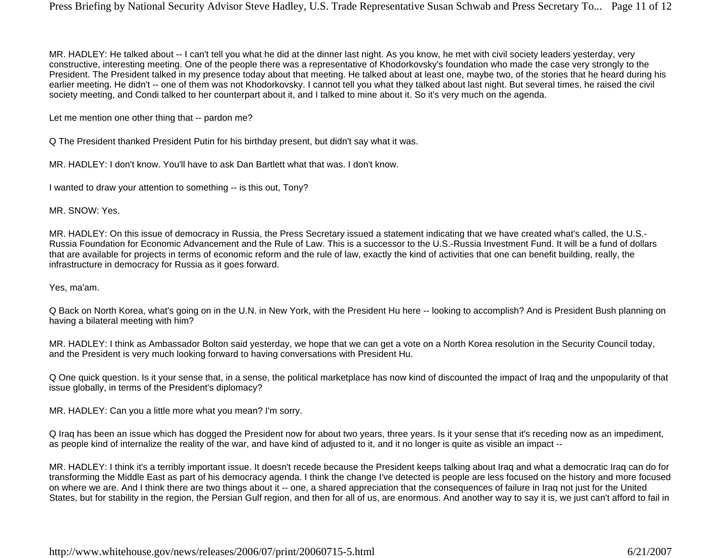MR. HADLEY: He talked about -- I can't tell you what he did at the dinner last night. As you know, he met with civil society leaders yesterday, very constructive, interesting meeting. One of the people there was a representative of Khodorkovsky's foundation who made the case very strongly to the President. The President talked in my presence today about that meeting. He talked about at least one, maybe two, of the stories that he heard during his earlier meeting. He didn't -- one of them was not Khodorkovsky. I cannot tell you what they talked about last night. But several times, he raised the civil society meeting, and Condi talked to her counterpart about it, and I talked to mine about it. So it's very much on the agenda.

Let me mention one other thing that -- pardon me?

Q The President thanked President Putin for his birthday present, but didn't say what it was.

MR. HADLEY: I don't know. You'll have to ask Dan Bartlett what that was. I don't know.

I wanted to draw your attention to something -- is this out, Tony?

MR. SNOW: Yes.

MR. HADLEY: On this issue of democracy in Russia, the Press Secretary issued a statement indicating that we have created what's called, the U.S.-Russia Foundation for Economic Advancement and the Rule of Law. This is a successor to the U.S.-Russia Investment Fund. It will be a fund of dollars that are available for projects in terms of economic reform and the rule of law, exactly the kind of activities that one can benefit building, really, the infrastructure in democracy for Russia as it goes forward.

## Yes, ma'am.

Q Back on North Korea, what's going on in the U.N. in New York, with the President Hu here -- looking to accomplish? And is President Bush planning on having a bilateral meeting with him?

MR. HADLEY: I think as Ambassador Bolton said yesterday, we hope that we can get a vote on a North Korea resolution in the Security Council today, and the President is very much looking forward to having conversations with President Hu.

Q One quick question. Is it your sense that, in a sense, the political marketplace has now kind of discounted the impact of Iraq and the unpopularity of that issue globally, in terms of the President's diplomacy?

MR. HADLEY: Can you a little more what you mean? I'm sorry.

Q Iraq has been an issue which has dogged the President now for about two years, three years. Is it your sense that it's receding now as an impediment, as people kind of internalize the reality of the war, and have kind of adjusted to it, and it no longer is quite as visible an impact --

MR. HADLEY: I think it's a terribly important issue. It doesn't recede because the President keeps talking about Iraq and what a democratic Iraq can do for transforming the Middle East as part of his democracy agenda. I think the change I've detected is people are less focused on the history and more focused on where we are. And I think there are two things about it -- one, a shared appreciation that the consequences of failure in Iraq not just for the United States, but for stability in the region, the Persian Gulf region, and then for all of us, are enormous. And another way to say it is, we just can't afford to fail in